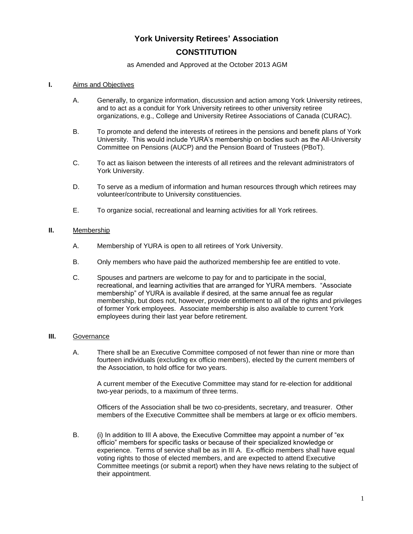# **York University Retirees' Association CONSTITUTION**

#### as Amended and Approved at the October 2013 AGM

#### **I.** Aims and Objectives

- A. Generally, to organize information, discussion and action among York University retirees, and to act as a conduit for York University retirees to other university retiree organizations, e.g., College and University Retiree Associations of Canada (CURAC).
- B. To promote and defend the interests of retirees in the pensions and benefit plans of York University. This would include YURA's membership on bodies such as the All-University Committee on Pensions (AUCP) and the Pension Board of Trustees (PBoT).
- C. To act as liaison between the interests of all retirees and the relevant administrators of York University.
- D. To serve as a medium of information and human resources through which retirees may volunteer/contribute to University constituencies.
- E. To organize social, recreational and learning activities for all York retirees.

# **II.** Membership

- A. Membership of YURA is open to all retirees of York University.
- B. Only members who have paid the authorized membership fee are entitled to vote.
- C. Spouses and partners are welcome to pay for and to participate in the social, recreational, and learning activities that are arranged for YURA members. "Associate membership" of YURA is available if desired, at the same annual fee as regular membership, but does not, however, provide entitlement to all of the rights and privileges of former York employees. Associate membership is also available to current York employees during their last year before retirement.

#### **III.** Governance

A. There shall be an Executive Committee composed of not fewer than nine or more than fourteen individuals (excluding ex officio members), elected by the current members of the Association, to hold office for two years.

A current member of the Executive Committee may stand for re-election for additional two-year periods, to a maximum of three terms.

Officers of the Association shall be two co-presidents, secretary, and treasurer. Other members of the Executive Committee shall be members at large or ex officio members.

B. (i) In addition to III A above, the Executive Committee may appoint a number of "ex officio" members for specific tasks or because of their specialized knowledge or experience. Terms of service shall be as in III A. Ex-officio members shall have equal voting rights to those of elected members, and are expected to attend Executive Committee meetings (or submit a report) when they have news relating to the subject of their appointment.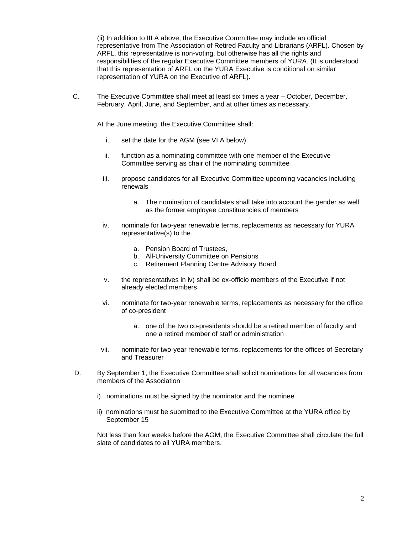(ii) In addition to III A above, the Executive Committee may include an official representative from The Association of Retired Faculty and Librarians (ARFL). Chosen by ARFL, this representative is non-voting, but otherwise has all the rights and responsibilities of the regular Executive Committee members of YURA. (It is understood that this representation of ARFL on the YURA Executive is conditional on similar representation of YURA on the Executive of ARFL).

C. The Executive Committee shall meet at least six times a year – October, December, February, April, June, and September, and at other times as necessary.

At the June meeting, the Executive Committee shall:

- i. set the date for the AGM (see VI A below)
- ii. function as a nominating committee with one member of the Executive Committee serving as chair of the nominating committee
- iii. propose candidates for all Executive Committee upcoming vacancies including renewals
	- a. The nomination of candidates shall take into account the gender as well as the former employee constituencies of members
- iv. nominate for two-year renewable terms, replacements as necessary for YURA representative(s) to the
	- a. Pension Board of Trustees,
	- b. All-University Committee on Pensions
	- c. Retirement Planning Centre Advisory Board
- v. the representatives in iv) shall be ex-officio members of the Executive if not already elected members
- vi. nominate for two-year renewable terms, replacements as necessary for the office of co-president
	- a. one of the two co-presidents should be a retired member of faculty and one a retired member of staff or administration
- vii. nominate for two-year renewable terms, replacements for the offices of Secretary and Treasurer
- D. By September 1, the Executive Committee shall solicit nominations for all vacancies from members of the Association
	- i) nominations must be signed by the nominator and the nominee
	- ii) nominations must be submitted to the Executive Committee at the YURA office by September 15

Not less than four weeks before the AGM, the Executive Committee shall circulate the full slate of candidates to all YURA members.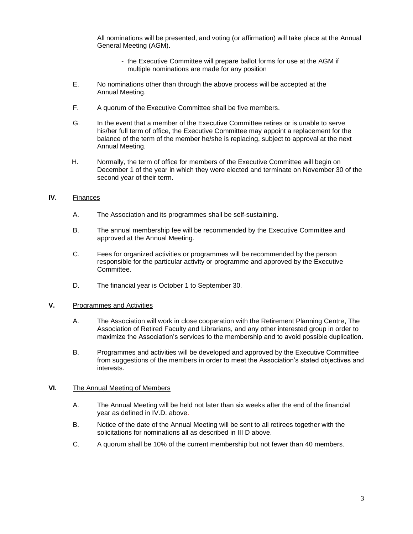All nominations will be presented, and voting (or affirmation) will take place at the Annual General Meeting (AGM).

- the Executive Committee will prepare ballot forms for use at the AGM if multiple nominations are made for any position
- E. No nominations other than through the above process will be accepted at the Annual Meeting.
- F. A quorum of the Executive Committee shall be five members.
- G. In the event that a member of the Executive Committee retires or is unable to serve his/her full term of office, the Executive Committee may appoint a replacement for the balance of the term of the member he/she is replacing, subject to approval at the next Annual Meeting.
- H. Normally, the term of office for members of the Executive Committee will begin on December 1 of the year in which they were elected and terminate on November 30 of the second year of their term.

# **IV.** Finances

- A. The Association and its programmes shall be self-sustaining.
- B. The annual membership fee will be recommended by the Executive Committee and approved at the Annual Meeting.
- C. Fees for organized activities or programmes will be recommended by the person responsible for the particular activity or programme and approved by the Executive Committee.
- D. The financial year is October 1 to September 30.

#### **V.** Programmes and Activities

- A. The Association will work in close cooperation with the Retirement Planning Centre, The Association of Retired Faculty and Librarians, and any other interested group in order to maximize the Association's services to the membership and to avoid possible duplication.
- B. Programmes and activities will be developed and approved by the Executive Committee from suggestions of the members in order to meet the Association's stated objectives and interests.

# **VI.** The Annual Meeting of Members

- A. The Annual Meeting will be held not later than six weeks after the end of the financial year as defined in IV.D. above.
- B. Notice of the date of the Annual Meeting will be sent to all retirees together with the solicitations for nominations all as described in III D above.
- C. A quorum shall be 10% of the current membership but not fewer than 40 members.